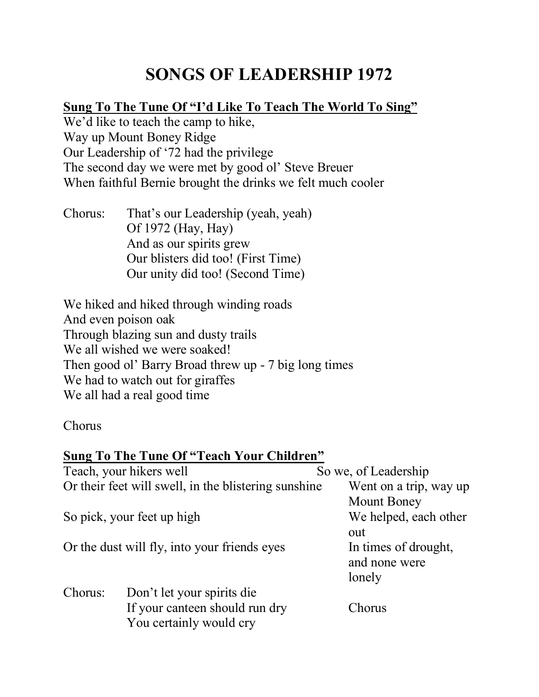# **SONGS OF LEADERSHIP 1972**

## **Sung To The Tune Of "I'd Like To Teach The World To Sing"**

We'd like to teach the camp to hike, Way up Mount Boney Ridge Our Leadership of '72 had the privilege The second day we were met by good ol' Steve Breuer When faithful Bernie brought the drinks we felt much cooler

Chorus: That's our Leadership (yeah, yeah) Of 1972 (Hay, Hay) And as our spirits grew Our blisters did too! (First Time) Our unity did too! (Second Time)

We hiked and hiked through winding roads And even poison oak Through blazing sun and dusty trails We all wished we were soaked! Then good ol' Barry Broad threw up - 7 big long times We had to watch out for giraffes We all had a real good time

Chorus

#### **Sung To The Tune Of "Teach Your Children"**

| Teach, your hikers well                              |                                | So we, of Leadership   |
|------------------------------------------------------|--------------------------------|------------------------|
| Or their feet will swell, in the blistering sunshine |                                | Went on a trip, way up |
|                                                      |                                | <b>Mount Boney</b>     |
| So pick, your feet up high                           |                                | We helped, each other  |
|                                                      |                                | out                    |
| Or the dust will fly, into your friends eyes         |                                | In times of drought,   |
|                                                      |                                | and none were          |
|                                                      |                                | lonely                 |
| Chorus:                                              | Don't let your spirits die     |                        |
|                                                      | If your canteen should run dry | Chorus                 |
|                                                      | You certainly would cry        |                        |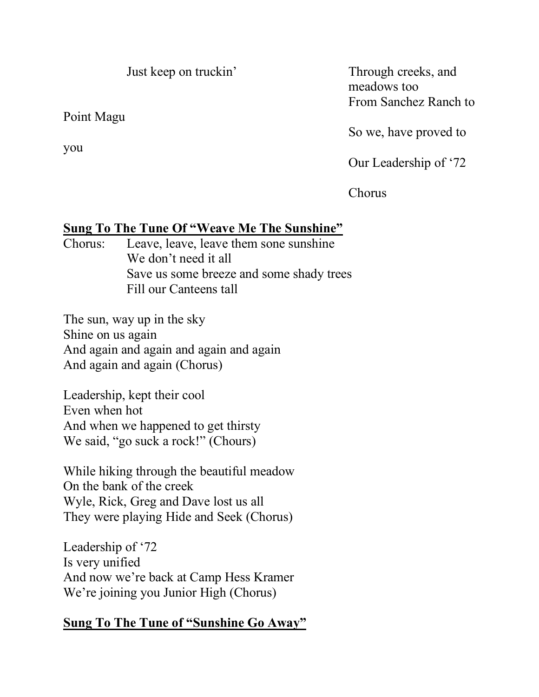Just keep on truckin' Through creeks, and

Point Magu

meadows too From Sanchez Ranch to

So we, have proved to

Our Leadership of '72

Chorus

# **Sung To The Tune Of "Weave Me The Sunshine"**

Chorus: Leave, leave, leave them sone sunshine We don't need it all Save us some breeze and some shady trees Fill our Canteens tall

The sun, way up in the sky Shine on us again And again and again and again and again And again and again (Chorus)

Leadership, kept their cool Even when hot And when we happened to get thirsty We said, "go suck a rock!" (Chours)

While hiking through the beautiful meadow On the bank of the creek Wyle, Rick, Greg and Dave lost us all They were playing Hide and Seek (Chorus)

Leadership of '72 Is very unified And now we're back at Camp Hess Kramer We're joining you Junior High (Chorus)

# **Sung To The Tune of "Sunshine Go Away"**

you